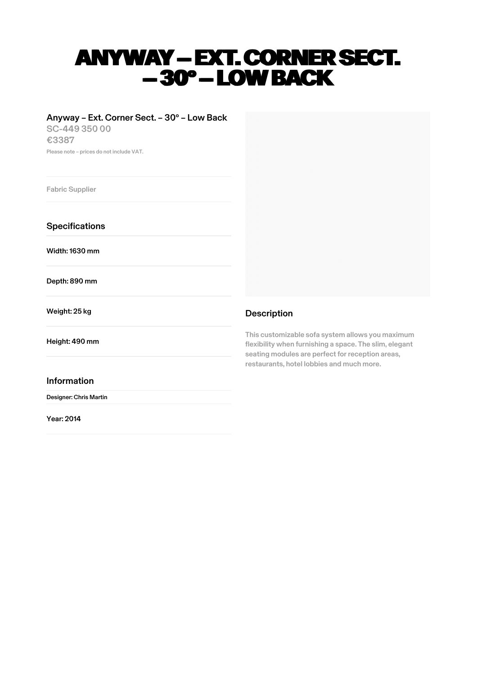# ANYWAY – EXT. CORNER SECT. –30° – LOW BACK

## Anyway – Ext. Corner Sect. – 30° – Low Back

SC-449 350 00 €3387 Please note – prices do not include VAT.

Fabric Supplier

**Specifications** 

Width:1630 mm

Depth: 890 mm

Weight: 25 kg

Height: 490 mm

### Information

Designer: Chris Martin

Year: 2014



## Description

This customizable sofa system allows you maximum flexibility when furnishing a space. The slim, elegant seating modules are perfect for reception areas, restaurants, hotel lobbies and much more.